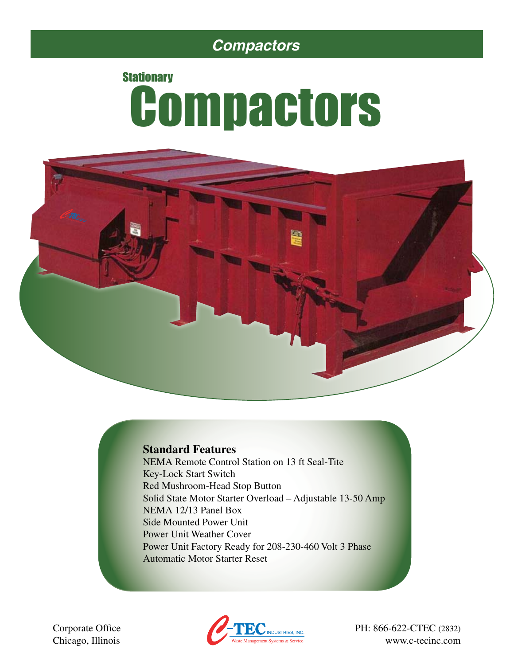## *Compactors*

# **Stationary Compactors**



### **Standard Features**

NEMA Remote Control Station on 13 ft Seal-Tite Key-Lock Start Switch Red Mushroom-Head Stop Button Solid State Motor Starter Overload – Adjustable 13-50 Amp NEMA 12/13 Panel Box Side Mounted Power Unit Power Unit Weather Cover Power Unit Factory Ready for 208-230-460 Volt 3 Phase Automatic Motor Starter Reset

Chicago, Illinois